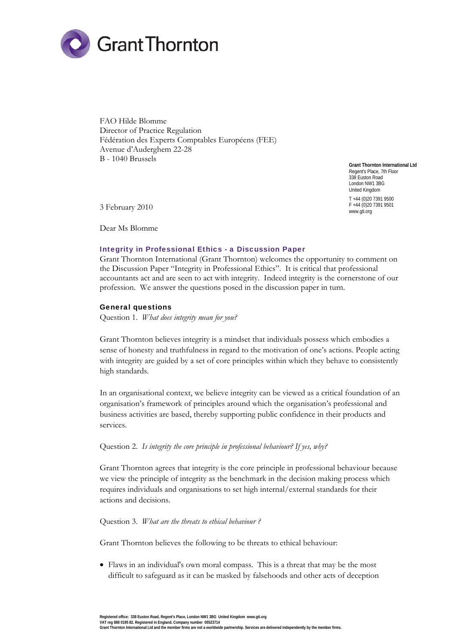

FAO Hilde Blomme Director of Practice Regulation Fédération des Experts Comptables Européens (FEE) Avenue d'Auderghem 22-28 B - 1040 Brussels

**Grant Thornton International Ltd**  Regent's Place, 7th Floor 338 Euston Road London NW1 3BG United Kingdom T +44 (0)20 7391 9500 F +44 (0)20 7391 9501 www.gti.org

3 February 2010

Dear Ms Blomme

#### Integrity in Professional Ethics - a Discussion Paper

Grant Thornton International (Grant Thornton) welcomes the opportunity to comment on the Discussion Paper "Integrity in Professional Ethics". It is critical that professional accountants act and are seen to act with integrity. Indeed integrity is the cornerstone of our profession. We answer the questions posed in the discussion paper in turn.

#### General questions

Question 1. *What does integrity mean for you?* 

Grant Thornton believes integrity is a mindset that individuals possess which embodies a sense of honesty and truthfulness in regard to the motivation of one's actions. People acting with integrity are guided by a set of core principles within which they behave to consistently high standards.

In an organisational context, we believe integrity can be viewed as a critical foundation of an organisation's framework of principles around which the organisation's professional and business activities are based, thereby supporting public confidence in their products and services.

Question 2. *Is integrity the core principle in professional behaviour? If yes, why?*

Grant Thornton agrees that integrity is the core principle in professional behaviour because we view the principle of integrity as the benchmark in the decision making process which requires individuals and organisations to set high internal/external standards for their actions and decisions.

Question 3. *What are the threats to ethical behaviour ?*

Grant Thornton believes the following to be threats to ethical behaviour:

 Flaws in an individual's own moral compass. This is a threat that may be the most difficult to safeguard as it can be masked by falsehoods and other acts of deception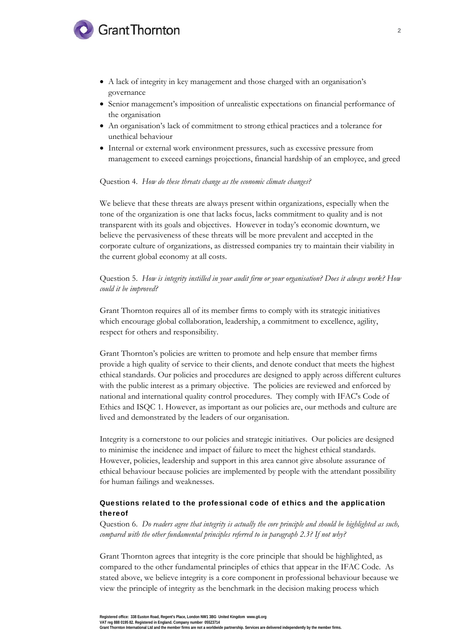## **Grant Thornton**

- A lack of integrity in key management and those charged with an organisation's governance
- Senior management's imposition of unrealistic expectations on financial performance of the organisation
- An organisation's lack of commitment to strong ethical practices and a tolerance for unethical behaviour
- Internal or external work environment pressures, such as excessive pressure from management to exceed earnings projections, financial hardship of an employee, and greed

#### Question 4. *How do these threats change as the economic climate changes?*

We believe that these threats are always present within organizations, especially when the tone of the organization is one that lacks focus, lacks commitment to quality and is not transparent with its goals and objectives. However in today's economic downturn, we believe the pervasiveness of these threats will be more prevalent and accepted in the corporate culture of organizations, as distressed companies try to maintain their viability in the current global economy at all costs.

Question 5. *How is integrity instilled in your audit firm or your organisation? Does it always work? How could it be improved?*

Grant Thornton requires all of its member firms to comply with its strategic initiatives which encourage global collaboration, leadership, a commitment to excellence, agility, respect for others and responsibility.

Grant Thornton's policies are written to promote and help ensure that member firms provide a high quality of service to their clients, and denote conduct that meets the highest ethical standards. Our policies and procedures are designed to apply across different cultures with the public interest as a primary objective. The policies are reviewed and enforced by national and international quality control procedures. They comply with IFAC's Code of Ethics and ISQC 1. However, as important as our policies are, our methods and culture are lived and demonstrated by the leaders of our organisation.

Integrity is a cornerstone to our policies and strategic initiatives. Our policies are designed to minimise the incidence and impact of failure to meet the highest ethical standards. However, policies, leadership and support in this area cannot give absolute assurance of ethical behaviour because policies are implemented by people with the attendant possibility for human failings and weaknesses.

### Questions related to the professional code of ethics and the application thereof

Question 6. *Do readers agree that integrity is actually the core principle and should be highlighted as such, compared with the other fundamental principles referred to in paragraph 2.3? If not why?*

Grant Thornton agrees that integrity is the core principle that should be highlighted, as compared to the other fundamental principles of ethics that appear in the IFAC Code. As stated above, we believe integrity is a core component in professional behaviour because we view the principle of integrity as the benchmark in the decision making process which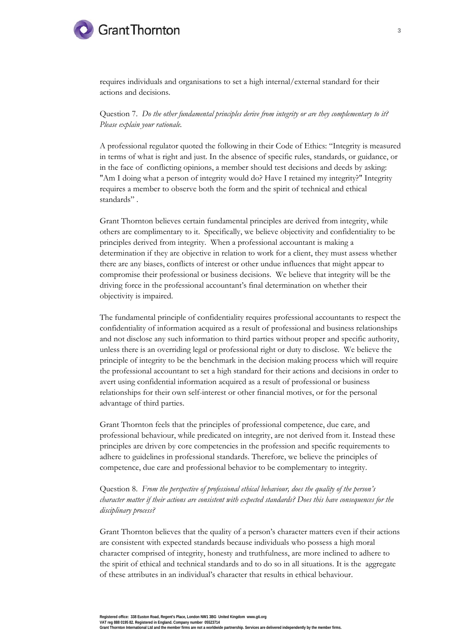

requires individuals and organisations to set a high internal/external standard for their actions and decisions.

Question 7. *Do the other fundamental principles derive from integrity or are they complementary to it? Please explain your rationale.*

A professional regulator quoted the following in their Code of Ethics: "Integrity is measured in terms of what is right and just. In the absence of specific rules, standards, or guidance, or in the face of conflicting opinions, a member should test decisions and deeds by asking: "Am I doing what a person of integrity would do? Have I retained my integrity?" Integrity requires a member to observe both the form and the spirit of technical and ethical standards" .

Grant Thornton believes certain fundamental principles are derived from integrity, while others are complimentary to it. Specifically, we believe objectivity and confidentiality to be principles derived from integrity. When a professional accountant is making a determination if they are objective in relation to work for a client, they must assess whether there are any biases, conflicts of interest or other undue influences that might appear to compromise their professional or business decisions. We believe that integrity will be the driving force in the professional accountant's final determination on whether their objectivity is impaired.

The fundamental principle of confidentiality requires professional accountants to respect the confidentiality of information acquired as a result of professional and business relationships and not disclose any such information to third parties without proper and specific authority, unless there is an overriding legal or professional right or duty to disclose. We believe the principle of integrity to be the benchmark in the decision making process which will require the professional accountant to set a high standard for their actions and decisions in order to avert using confidential information acquired as a result of professional or business relationships for their own self-interest or other financial motives, or for the personal advantage of third parties.

Grant Thornton feels that the principles of professional competence, due care, and professional behaviour, while predicated on integrity, are not derived from it. Instead these principles are driven by core competencies in the profession and specific requirements to adhere to guidelines in professional standards. Therefore, we believe the principles of competence, due care and professional behavior to be complementary to integrity.

Question 8. *From the perspective of professional ethical behaviour, does the quality of the person's character matter if their actions are consistent with expected standards? Does this have consequences for the disciplinary process?*

Grant Thornton believes that the quality of a person's character matters even if their actions are consistent with expected standards because individuals who possess a high moral character comprised of integrity, honesty and truthfulness, are more inclined to adhere to the spirit of ethical and technical standards and to do so in all situations. It is the aggregate of these attributes in an individual's character that results in ethical behaviour.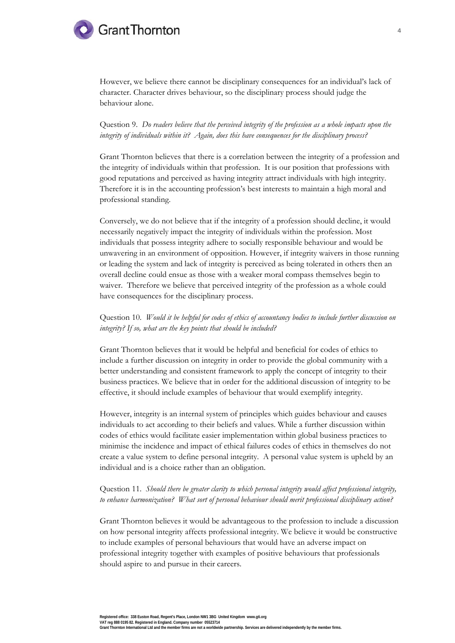# **Grant Thornton**

However, we believe there cannot be disciplinary consequences for an individual's lack of character. Character drives behaviour, so the disciplinary process should judge the behaviour alone.

Question 9. *Do readers believe that the perceived integrity of the profession as a whole impacts upon the integrity of individuals within it? Again, does this have consequences for the disciplinary process?* 

Grant Thornton believes that there is a correlation between the integrity of a profession and the integrity of individuals within that profession. It is our position that professions with good reputations and perceived as having integrity attract individuals with high integrity. Therefore it is in the accounting profession's best interests to maintain a high moral and professional standing.

Conversely, we do not believe that if the integrity of a profession should decline, it would necessarily negatively impact the integrity of individuals within the profession. Most individuals that possess integrity adhere to socially responsible behaviour and would be unwavering in an environment of opposition. However, if integrity waivers in those running or leading the system and lack of integrity is perceived as being tolerated in others then an overall decline could ensue as those with a weaker moral compass themselves begin to waiver. Therefore we believe that perceived integrity of the profession as a whole could have consequences for the disciplinary process.

Question 10. *Would it be helpful for codes of ethics of accountancy bodies to include further discussion on integrity? If so, what are the key points that should be included?*

Grant Thornton believes that it would be helpful and beneficial for codes of ethics to include a further discussion on integrity in order to provide the global community with a better understanding and consistent framework to apply the concept of integrity to their business practices. We believe that in order for the additional discussion of integrity to be effective, it should include examples of behaviour that would exemplify integrity.

However, integrity is an internal system of principles which guides behaviour and causes individuals to act according to their beliefs and values. While a further discussion within codes of ethics would facilitate easier implementation within global business practices to minimise the incidence and impact of ethical failures codes of ethics in themselves do not create a value system to define personal integrity. A personal value system is upheld by an individual and is a choice rather than an obligation.

## Question 11. *Should there be greater clarity to which personal integrity would affect professional integrity, to enhance harmonization? What sort of personal behaviour should merit professional disciplinary action?*

Grant Thornton believes it would be advantageous to the profession to include a discussion on how personal integrity affects professional integrity. We believe it would be constructive to include examples of personal behaviours that would have an adverse impact on professional integrity together with examples of positive behaviours that professionals should aspire to and pursue in their careers.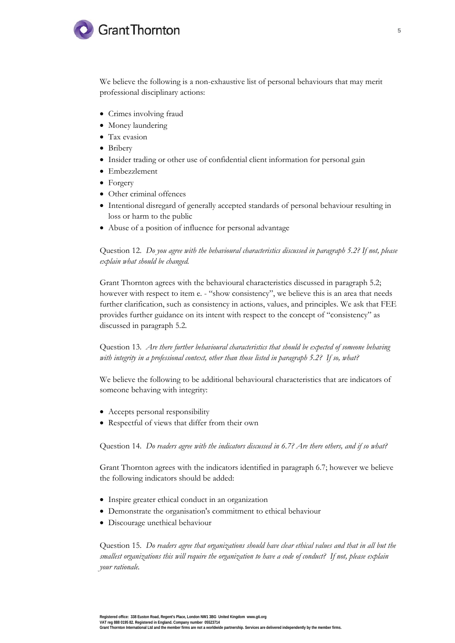

We believe the following is a non-exhaustive list of personal behaviours that may merit professional disciplinary actions:

- Crimes involving fraud
- Money laundering
- Tax evasion
- Bribery
- Insider trading or other use of confidential client information for personal gain
- Embezzlement
- Forgery
- Other criminal offences
- Intentional disregard of generally accepted standards of personal behaviour resulting in loss or harm to the public
- Abuse of a position of influence for personal advantage

Question 12. *Do you agree with the behavioural characteristics discussed in paragraph 5.2? If not, please explain what should be changed.* 

Grant Thornton agrees with the behavioural characteristics discussed in paragraph 5.2; however with respect to item e. - "show consistency", we believe this is an area that needs further clarification, such as consistency in actions, values, and principles. We ask that FEE provides further guidance on its intent with respect to the concept of "consistency" as discussed in paragraph 5.2.

Question 13. *Are there further behavioural characteristics that should be expected of someone behaving with integrity in a professional context, other than those listed in paragraph 5.2? If so, what?* 

We believe the following to be additional behavioural characteristics that are indicators of someone behaving with integrity:

- Accepts personal responsibility
- Respectful of views that differ from their own

Question 14. *Do readers agree with the indicators discussed in 6.7? Are there others, and if so what?* 

Grant Thornton agrees with the indicators identified in paragraph 6.7; however we believe the following indicators should be added:

- Inspire greater ethical conduct in an organization
- Demonstrate the organisation's commitment to ethical behaviour
- Discourage unethical behaviour

Question 15. *Do readers agree that organizations should have clear ethical values and that in all but the smallest organizations this will require the organization to have a code of conduct? If not, please explain your rationale.*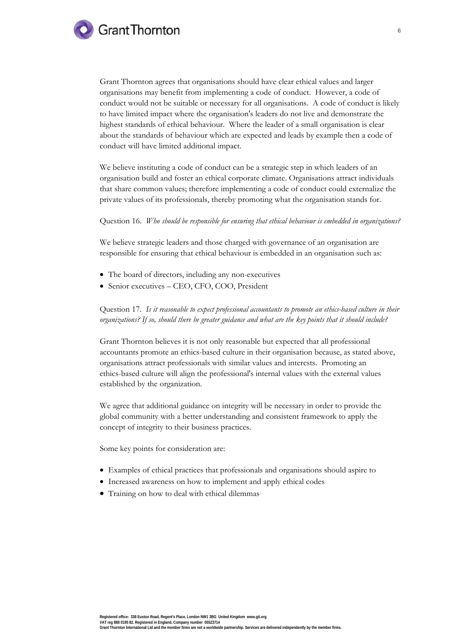

Grant Thornton agrees that organisations should have clear ethical values and larger organisations may benefit from implementing a code of conduct. However, a code of conduct would not be suitable or necessary for all organisations. A code of conduct is likely to have limited impact where the organisation's leaders do not live and demonstrate the highest standards of ethical behaviour. Where the leader of a small organisation is clear about the standards of behaviour which are expected and leads by example then a code of conduct will have limited additional impact.

We believe instituting a code of conduct can be a strategic step in which leaders of an organisation build and foster an ethical corporate climate. Organisations attract individuals that share common values; therefore implementing a code of conduct could externalize the private values of its professionals, thereby promoting what the organisation stands for.

Question 16. *Who should be responsible for ensuring that ethical behaviour is embedded in organizations?*

We believe strategic leaders and those charged with governance of an organisation are responsible for ensuring that ethical behaviour is embedded in an organisation such as:

- The board of directors, including any non-executives
- Senior executives CEO, CFO, COO, President

Question 17. *Is it reasonable to expect professional accountants to promote an ethics-based culture in their organizations? If so, should there be greater guidance and what are the key points that it should include?* 

Grant Thornton believes it is not only reasonable but expected that all professional accountants promote an ethics-based culture in their organisation because, as stated above, organisations attract professionals with similar values and interests. Promoting an ethics-based culture will align the professional's internal values with the external values established by the organization.

We agree that additional guidance on integrity will be necessary in order to provide the global community with a better understanding and consistent framework to apply the concept of integrity to their business practices.

Some key points for consideration are:

- Examples of ethical practices that professionals and organisations should aspire to
- Increased awareness on how to implement and apply ethical codes
- Training on how to deal with ethical dilemmas